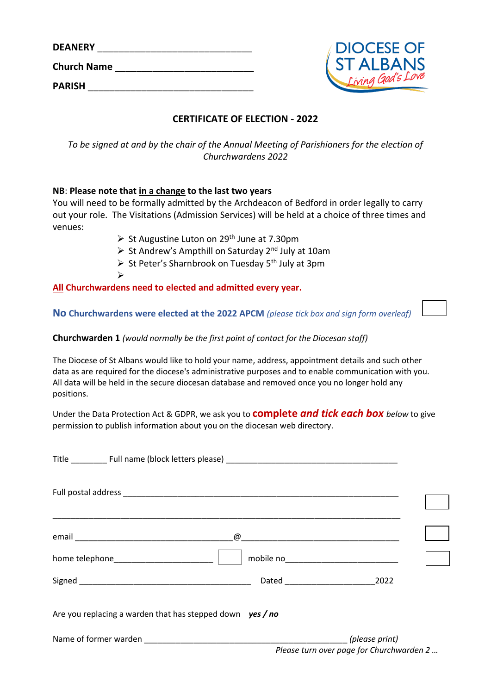| <b>DEANERY</b>     |  |
|--------------------|--|
| <b>Church Name</b> |  |
| <b>PARISH</b>      |  |



# **CERTIFICATE OF ELECTION - 2022**

*To be signed at and by the chair of the Annual Meeting of Parishioners for the election of Churchwardens 2022*

## **NB**: **Please note that in a change to the last two years**

➢

You will need to be formally admitted by the Archdeacon of Bedford in order legally to carry out your role. The Visitations (Admission Services) will be held at a choice of three times and venues:

- $\triangleright$  St Augustine Luton on 29<sup>th</sup> June at 7.30pm
- $\triangleright$  St Andrew's Ampthill on Saturday 2<sup>nd</sup> July at 10am
- $\triangleright$  St Peter's Sharnbrook on Tuesday 5<sup>th</sup> July at 3pm

# **All Churchwardens need to elected and admitted every year.**

**No Churchwardens were elected at the 2022 APCM** *(please tick box and sign form overleaf)*

## **Churchwarden 1** *(would normally be the first point of contact for the Diocesan staff)*

The Diocese of St Albans would like to hold your name, address, appointment details and such other data as are required for the diocese's administrative purposes and to enable communication with you. All data will be held in the secure diocesan database and removed once you no longer hold any positions.

Under the Data Protection Act & GDPR, we ask you to **complete** *and tick each box below* to give permission to publish information about you on the diocesan web directory.

|                                                             | mobile no______________________________  |  |
|-------------------------------------------------------------|------------------------------------------|--|
|                                                             |                                          |  |
| Are you replacing a warden that has stepped down $yes / no$ |                                          |  |
|                                                             | Please turn over page for Churchwarden 2 |  |